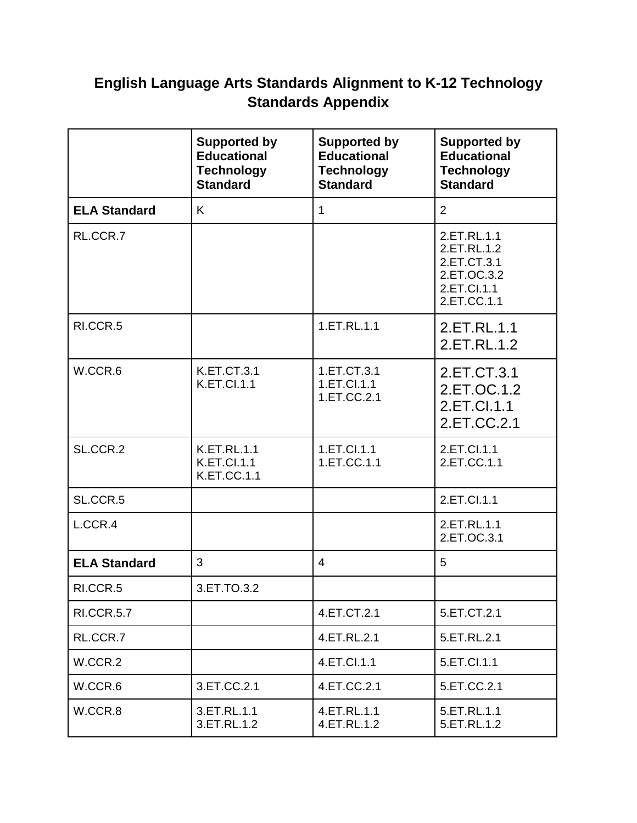## **English Language Arts Standards Alignment to K-12 Technology Standards Appendix**

|                     | <b>Supported by</b><br><b>Educational</b><br><b>Technology</b><br><b>Standard</b> | <b>Supported by</b><br><b>Educational</b><br><b>Technology</b><br><b>Standard</b> | <b>Supported by</b><br><b>Educational</b><br><b>Technology</b><br><b>Standard</b>      |
|---------------------|-----------------------------------------------------------------------------------|-----------------------------------------------------------------------------------|----------------------------------------------------------------------------------------|
| <b>ELA Standard</b> | K                                                                                 | $\mathbf{1}$                                                                      | $\overline{2}$                                                                         |
| RL.CCR.7            |                                                                                   |                                                                                   | 2.ET.RL.1.1<br>2.ET.RL.1.2<br>2.ET.CT.3.1<br>2.ET.OC.3.2<br>2.ET.Cl.1.1<br>2.ET.CC.1.1 |
| RI.CCR.5            |                                                                                   | 1.ET.RL.1.1                                                                       | 2.ET.RL.1.1<br>2.ET.RL.1.2                                                             |
| W.CCR.6             | <b>K.ET.CT.3.1</b><br><b>K.ET.Cl.1.1</b>                                          | 1.ET.CT.3.1<br>1.ET.Cl.1.1<br>1.ET.CC.2.1                                         | 2.ET.CT.3.1<br>2.ET.OC.1.2<br>2.ET.Cl.1.1<br>2.ET.CC.2.1                               |
| SL.CCR.2            | <b>K.ET.RL.1.1</b><br><b>K.ET.Cl.1.1</b><br><b>K.ET.CC.1.1</b>                    | 1.ET.Cl.1.1<br>1.ET.CC.1.1                                                        | 2.ET.Cl.1.1<br>2.ET.CC.1.1                                                             |
| SL.CCR.5            |                                                                                   |                                                                                   | 2.ET.Cl.1.1                                                                            |
| L.CCR.4             |                                                                                   |                                                                                   | 2.ET.RL.1.1<br>2.ET.OC.3.1                                                             |
| <b>ELA Standard</b> | 3                                                                                 | $\overline{4}$                                                                    | 5                                                                                      |
| RI.CCR.5            | 3.ET.TO.3.2                                                                       |                                                                                   |                                                                                        |
| <b>RI.CCR.5.7</b>   |                                                                                   | 4.ET.CT.2.1                                                                       | 5.ET.CT.2.1                                                                            |
| RL.CCR.7            |                                                                                   | 4.ET.RL.2.1                                                                       | 5.ET.RL.2.1                                                                            |
| W.CCR.2             |                                                                                   | 4.ET.Cl.1.1                                                                       | 5.ET.Cl.1.1                                                                            |
| W.CCR.6             | 3.ET.CC.2.1                                                                       | 4.ET.CC.2.1                                                                       | 5.ET.CC.2.1                                                                            |
| W.CCR.8             | 3.ET.RL.1.1<br>3.ET.RL.1.2                                                        | 4.ET.RL.1.1<br>4.ET.RL.1.2                                                        | 5.ET.RL.1.1<br>5.ET.RL.1.2                                                             |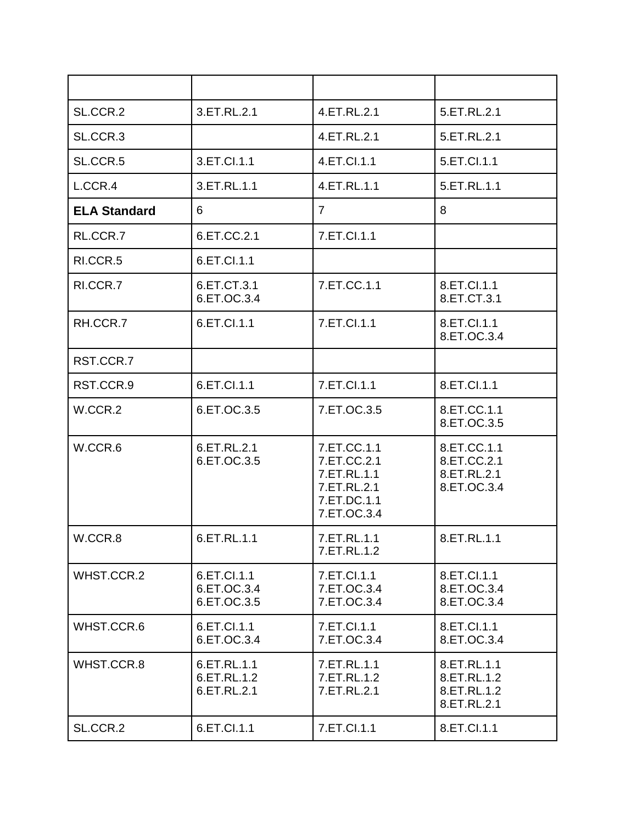| SL.CCR.2            | 3.ET.RL.2.1                               | 4.ET.RL.2.1                                                                            | 5.ET.RL.2.1                                              |
|---------------------|-------------------------------------------|----------------------------------------------------------------------------------------|----------------------------------------------------------|
| SL.CCR.3            |                                           | 4.ET.RL.2.1                                                                            | 5.ET.RL.2.1                                              |
| SL.CCR.5            | 3.ET.Cl.1.1                               | 4.ET.Cl.1.1                                                                            | 5.ET.CI.1.1                                              |
| L.CCR.4             | 3.ET.RL.1.1                               | 4.ET.RL.1.1                                                                            | 5.ET.RL.1.1                                              |
| <b>ELA Standard</b> | 6                                         | $\overline{7}$                                                                         | 8                                                        |
| RL.CCR.7            | 6.ET.CC.2.1                               | 7.ET.Cl.1.1                                                                            |                                                          |
| RI.CCR.5            | 6.ET.Cl.1.1                               |                                                                                        |                                                          |
| RI.CCR.7            | 6.ET.CT.3.1<br>6.ET.OC.3.4                | 7.ET.CC.1.1                                                                            | 8.ET.Cl.1.1<br>8.ET.CT.3.1                               |
| RH.CCR.7            | 6.ET.Cl.1.1                               | 7.ET.Cl.1.1                                                                            | 8.ET.Cl.1.1<br>8.ET.OC.3.4                               |
| RST.CCR.7           |                                           |                                                                                        |                                                          |
| RST.CCR.9           | 6.ET.Cl.1.1                               | 7.ET.Cl.1.1                                                                            | 8.ET.Cl.1.1                                              |
| W.CCR.2             | 6.ET.OC.3.5                               | 7.ET.OC.3.5                                                                            | 8.ET.CC.1.1<br>8.ET.OC.3.5                               |
| W.CCR.6             | 6.ET.RL.2.1<br>6.ET.OC.3.5                | 7.ET.CC.1.1<br>7.ET.CC.2.1<br>7.ET.RL.1.1<br>7.ET.RL.2.1<br>7.ET.DC.1.1<br>7.ET.OC.3.4 | 8.ET.CC.1.1<br>8.ET.CC.2.1<br>8.ET.RL.2.1<br>8.ET.OC.3.4 |
| W.CCR.8             | 6.ET.RL.1.1                               | 7.ET.RL.1.1<br>7.ET.RL.1.2                                                             | 8.ET.RL.1.1                                              |
| WHST.CCR.2          | 6.ET.Cl.1.1<br>6.ET.OC.3.4<br>6.ET.OC.3.5 | 7.ET.Cl.1.1<br>7.ET.OC.3.4<br>7.ET.OC.3.4                                              | 8.ET.Cl.1.1<br>8.ET.OC.3.4<br>8.ET.OC.3.4                |
| WHST.CCR.6          | 6.ET.Cl.1.1<br>6.ET.OC.3.4                | 7.ET.Cl.1.1<br>7.ET.OC.3.4                                                             | 8.ET.Cl.1.1<br>8.ET.OC.3.4                               |
| WHST.CCR.8          | 6.ET.RL.1.1<br>6.ET.RL.1.2<br>6.ET.RL.2.1 | 7.ET.RL.1.1<br>7.ET.RL.1.2<br>7.ET.RL.2.1                                              | 8.ET.RL.1.1<br>8.ET.RL.1.2<br>8.ET.RL.1.2<br>8.ET.RL.2.1 |
| SL.CCR.2            | 6.ET.Cl.1.1                               | 7.ET.Cl.1.1                                                                            | 8.ET.Cl.1.1                                              |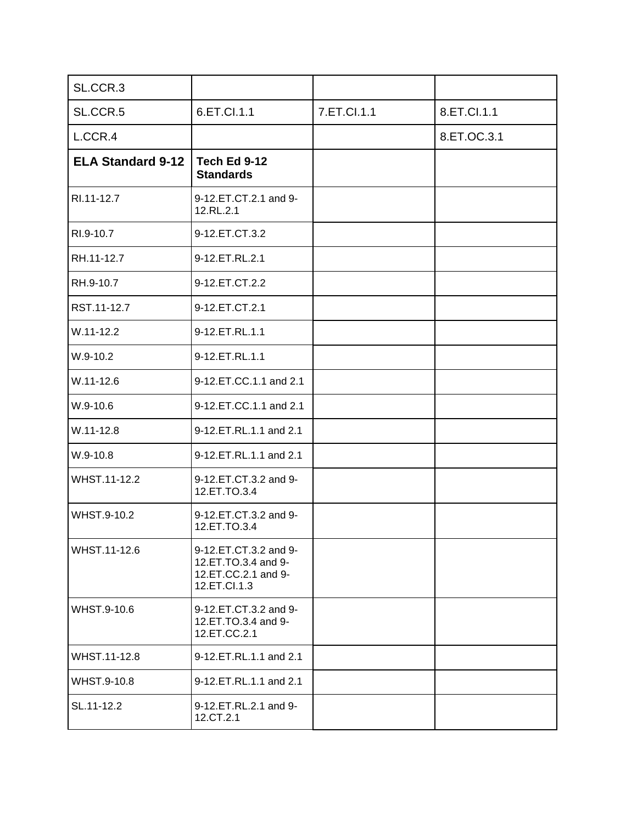| SL.CCR.3                 |                                                                                     |             |             |
|--------------------------|-------------------------------------------------------------------------------------|-------------|-------------|
| SL.CCR.5                 | 6.ET.Cl.1.1                                                                         | 7.ET.Cl.1.1 | 8.ET.Cl.1.1 |
| L.CCR.4                  |                                                                                     |             | 8.ET.OC.3.1 |
| <b>ELA Standard 9-12</b> | <b>Tech Ed 9-12</b><br><b>Standards</b>                                             |             |             |
| RI.11-12.7               | 9-12.ET.CT.2.1 and 9-<br>12.RL.2.1                                                  |             |             |
| RI.9-10.7                | 9-12.ET.CT.3.2                                                                      |             |             |
| RH.11-12.7               | 9-12.ET.RL.2.1                                                                      |             |             |
| RH.9-10.7                | 9-12.ET.CT.2.2                                                                      |             |             |
| RST.11-12.7              | 9-12.ET.CT.2.1                                                                      |             |             |
| $W.11 - 12.2$            | 9-12.ET.RL.1.1                                                                      |             |             |
| W.9-10.2                 | 9-12.ET.RL.1.1                                                                      |             |             |
| $W.11 - 12.6$            | 9-12.ET.CC.1.1 and 2.1                                                              |             |             |
| $W.9-10.6$               | 9-12.ET.CC.1.1 and 2.1                                                              |             |             |
| $W.11 - 12.8$            | 9-12.ET.RL.1.1 and 2.1                                                              |             |             |
| W.9-10.8                 | 9-12.ET.RL.1.1 and 2.1                                                              |             |             |
| WHST.11-12.2             | 9-12.ET.CT.3.2 and 9-<br>12.ET.TO.3.4                                               |             |             |
| WHST.9-10.2              | 9-12.ET.CT.3.2 and 9-<br>12.ET.TO.3.4                                               |             |             |
| WHST.11-12.6             | 9-12.ET.CT.3.2 and 9-<br>12.ET.TO.3.4 and 9-<br>12.ET.CC.2.1 and 9-<br>12.ET.Cl.1.3 |             |             |
| WHST.9-10.6              | 9-12.ET.CT.3.2 and 9-<br>12.ET.TO.3.4 and 9-<br>12.ET.CC.2.1                        |             |             |
| WHST.11-12.8             | 9-12.ET.RL.1.1 and 2.1                                                              |             |             |
| WHST.9-10.8              | 9-12.ET.RL.1.1 and 2.1                                                              |             |             |
| SL.11-12.2               | 9-12.ET.RL.2.1 and 9-<br>12.CT.2.1                                                  |             |             |